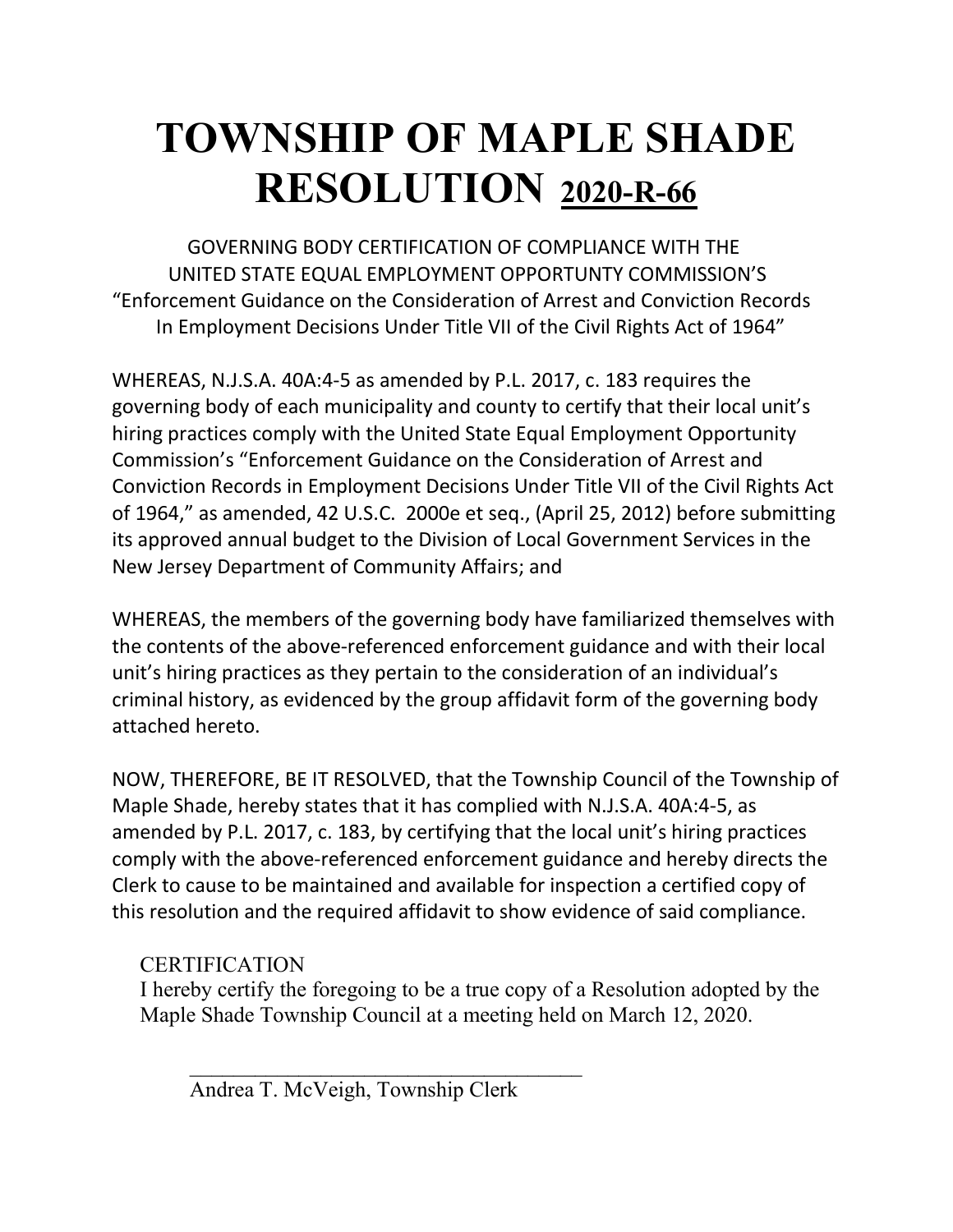## **TOWNSHIP OF MAPLE SHADE RESOLUTION 2020-R-66**

 GOVERNING BODY CERTIFICATION OF COMPLIANCE WITH THE UNITED STATE EQUAL EMPLOYMENT OPPORTUNTY COMMISSION'S "Enforcement Guidance on the Consideration of Arrest and Conviction Records In Employment Decisions Under Title VII of the Civil Rights Act of 1964"

WHEREAS, N.J.S.A. 40A:4-5 as amended by P.L. 2017, c. 183 requires the governing body of each municipality and county to certify that their local unit's hiring practices comply with the United State Equal Employment Opportunity Commission's "Enforcement Guidance on the Consideration of Arrest and Conviction Records in Employment Decisions Under Title VII of the Civil Rights Act of 1964," as amended, 42 U.S.C. 2000e et seq., (April 25, 2012) before submitting its approved annual budget to the Division of Local Government Services in the New Jersey Department of Community Affairs; and

WHEREAS, the members of the governing body have familiarized themselves with the contents of the above-referenced enforcement guidance and with their local unit's hiring practices as they pertain to the consideration of an individual's criminal history, as evidenced by the group affidavit form of the governing body attached hereto.

NOW, THEREFORE, BE IT RESOLVED, that the Township Council of the Township of Maple Shade, hereby states that it has complied with N.J.S.A. 40A:4-5, as amended by P.L. 2017, c. 183, by certifying that the local unit's hiring practices comply with the above-referenced enforcement guidance and hereby directs the Clerk to cause to be maintained and available for inspection a certified copy of this resolution and the required affidavit to show evidence of said compliance.

### **CERTIFICATION**

I hereby certify the foregoing to be a true copy of a Resolution adopted by the Maple Shade Township Council at a meeting held on March 12, 2020.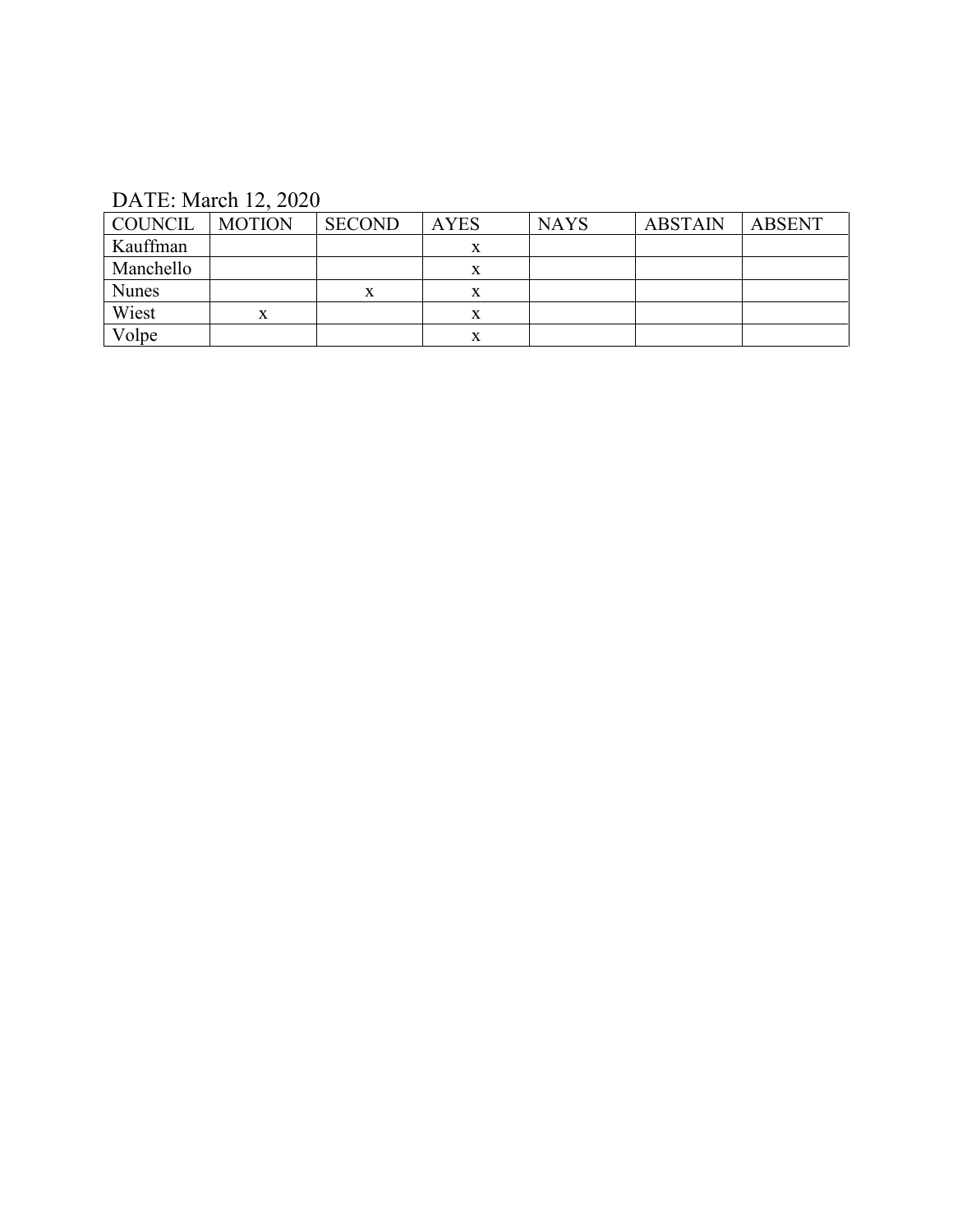### DATE: March 12, 2020

| COUNCIL      | <b>MOTION</b> | <b>SECOND</b> | <b>AYES</b> | <b>NAYS</b> | <b>ABSTAIN</b> | ABSENT |
|--------------|---------------|---------------|-------------|-------------|----------------|--------|
| Kauffman     |               |               |             |             |                |        |
| Manchello    |               |               |             |             |                |        |
| <b>Nunes</b> |               | x             |             |             |                |        |
| Wiest        | X.            |               |             |             |                |        |
| Volpe        |               |               |             |             |                |        |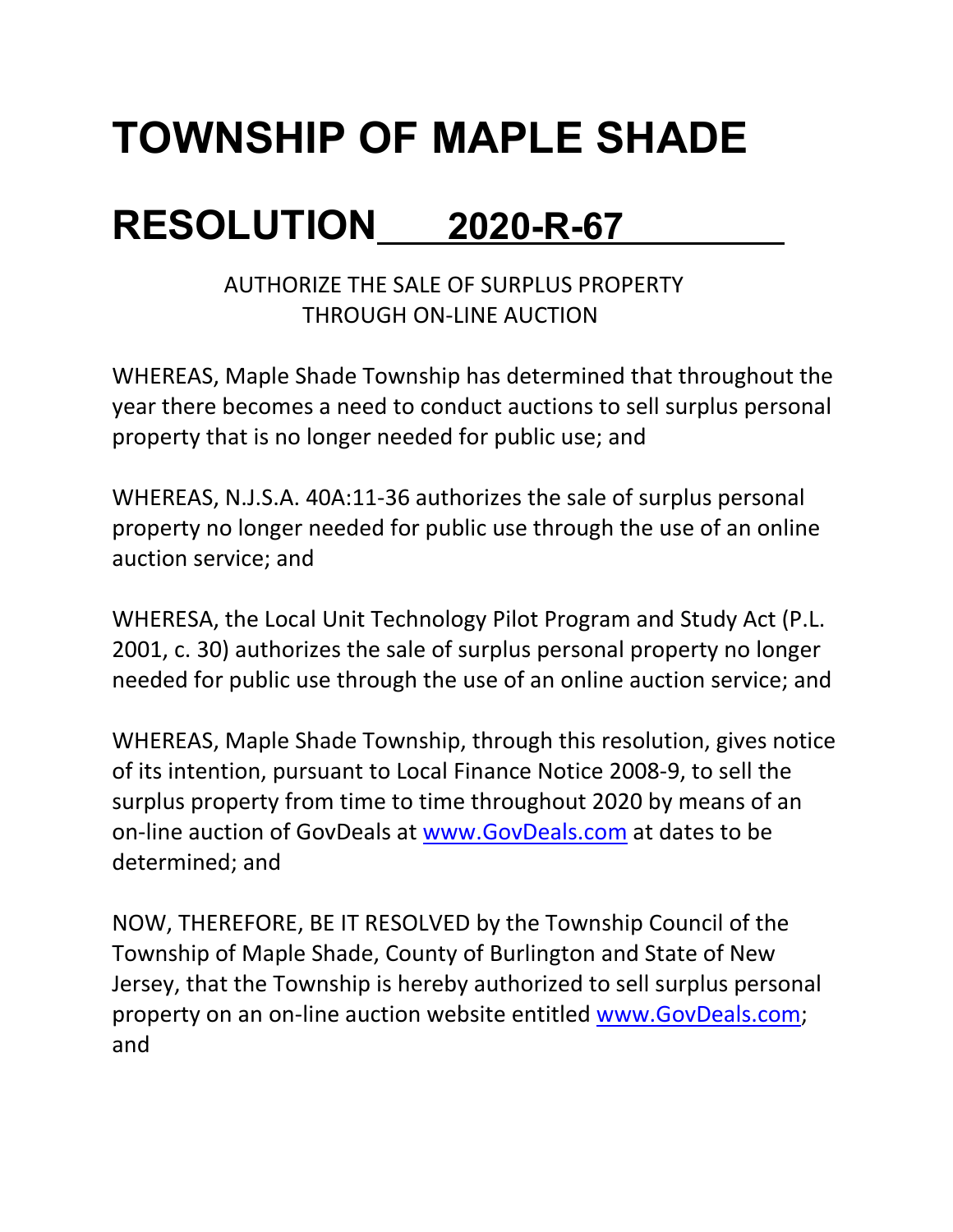# **TOWNSHIP OF MAPLE SHADE**

### **RESOLUTION 2020-R-67**

AUTHORIZE THE SALE OF SURPLUS PROPERTY THROUGH ON-LINE AUCTION

WHEREAS, Maple Shade Township has determined that throughout the year there becomes a need to conduct auctions to sell surplus personal property that is no longer needed for public use; and

WHEREAS, N.J.S.A. 40A:11-36 authorizes the sale of surplus personal property no longer needed for public use through the use of an online auction service; and

WHERESA, the Local Unit Technology Pilot Program and Study Act (P.L. 2001, c. 30) authorizes the sale of surplus personal property no longer needed for public use through the use of an online auction service; and

WHEREAS, Maple Shade Township, through this resolution, gives notice of its intention, pursuant to Local Finance Notice 2008-9, to sell the surplus property from time to time throughout 2020 by means of an on-line auction of GovDeals at [www.GovDeals.com](http://www.govdeals.com/) at dates to be determined; and

NOW, THEREFORE, BE IT RESOLVED by the Township Council of the Township of Maple Shade, County of Burlington and State of New Jersey, that the Township is hereby authorized to sell surplus personal property on an on-line auction website entitled [www.GovDeals.com;](http://www.govdeals.com/) and